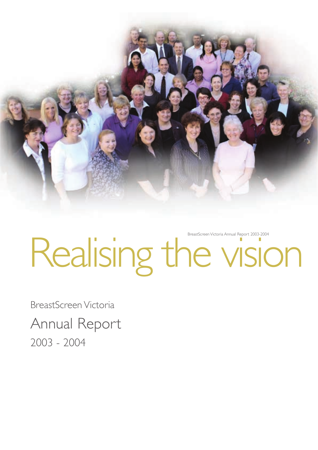

# Realising the vision BreastScreen Victoria Annual Report 2003-2004

BreastScreen Victoria Annual Report 2003 - 2004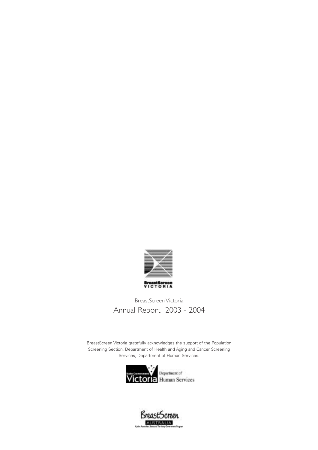

# BreastScreen Victoria Annual Report 2003 - 2004

BreastScreen Victoria gratefully acknowledges the support of the Population Screening Section, Department of Health and Aging and Cancer Screening Services, Department of Human Services.



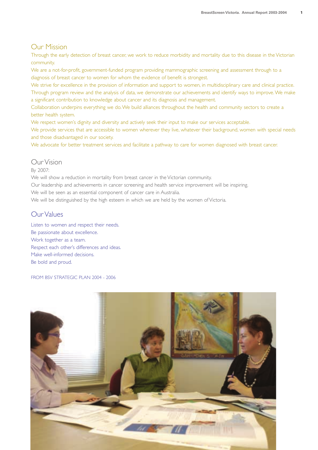#### Our Mission

Through the early detection of breast cancer, we work to reduce morbidity and mortality due to this disease in the Victorian community.

We are a not-for-profit, government-funded program providing mammographic screening and assessment through to a diagnosis of breast cancer to women for whom the evidence of benefit is strongest.

We strive for excellence in the provision of information and support to women, in multidisciplinary care and clinical practice. Through program review and the analysis of data, we demonstrate our achievements and identify ways to improve.We make a significant contribution to knowledge about cancer and its diagnosis and management.

Collaboration underpins everything we do.We build alliances throughout the health and community sectors to create a better health system.

We respect women's dignity and diversity and actively seek their input to make our services acceptable.

We provide services that are accessible to women wherever they live, whatever their background, women with special needs and those disadvantaged in our society.

We advocate for better treatment services and facilitate a pathway to care for women diagnosed with breast cancer.

#### Our Vision

#### By 2007:

We will show a reduction in mortality from breast cancer in the Victorian community.

Our leadership and achievements in cancer screening and health service improvement will be inspiring.

We will be seen as an essential component of cancer care in Australia.

We will be distinguished by the high esteem in which we are held by the women of Victoria.

#### Our Values

Listen to women and respect their needs. Be passionate about excellence. Work together as a team. Respect each other's differences and ideas. Make well-informed decisions. Be bold and proud.

FROM BSV STRATEGIC PLAN 2004 - 2006

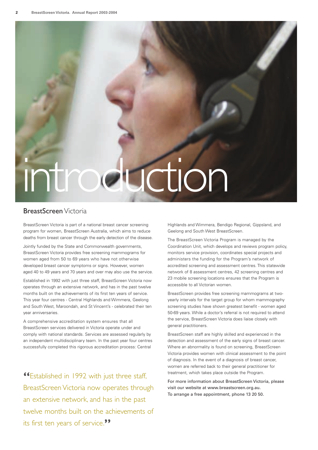# introduction

#### BreastScreen Victoria

BreastScreen Victoria is part of a national breast cancer screening program for women, BreastScreen Australia, which aims to reduce deaths from breast cancer through the early detection of the disease.

Jointly funded by the State and Commonwealth governments, BreastScreen Victoria provides free screening mammograms for women aged from 50 to 69 years who have not otherwise developed breast cancer symptoms or signs. However, women aged 40 to 49 years and 70 years and over may also use the service.

Established in 1992 with just three staff, BreastScreen Victoria now operates through an extensive network, and has in the past twelve months built on the achievements of its first ten years of service. This year four centres - Central Highlands and Wimmera, Geelong and South West, Maroondah, and St Vincent's - celebrated their ten year anniversaries.

A comprehensive accreditation system ensures that all BreastScreen services delivered in Victoria operate under and comply with national standards. Services are assessed regularly by an independent multidisciplinary team. In the past year four centres successfully completed this rigorous accreditation process: Central

**"**Established in 1992 with just three staff, BreastScreen Victoria now operates through an extensive network, and has in the past twelve months built on the achievements of its first ten years of service.**"**

Highlands and Wimmera, Bendigo Regional, Gippsland, and Geelong and South West BreastScreen.

The BreastScreen Victoria Program is managed by the Coordination Unit, which develops and reviews program policy, monitors service provision, coordinates special projects and administers the funding for the Program's network of accredited screening and assessment centres. This statewide network of 8 assessment centres, 42 screening centres and 23 mobile screening locations ensures that the Program is accessible to all Victorian women.

BreastScreen provides free screening mammograms at twoyearly intervals for the target group for whom mammography screening studies have shown greatest benefit - women aged 50-69 years. While a doctor's referral is not required to attend the service, BreastScreen Victoria does liaise closely with general practitioners.

BreastScreen staff are highly skilled and experienced in the detection and assessment of the early signs of breast cancer. Where an abnormality is found on screening, BreastScreen Victoria provides women with clinical assessment to the point of diagnosis. In the event of a diagnosis of breast cancer, women are referred back to their general practitioner for treatment, which takes place outside the Program.

For more information about BreastScreen Victoria, please visit our website at www.breastscreen.org.au. To arrange a free appointment, phone 13 20 50.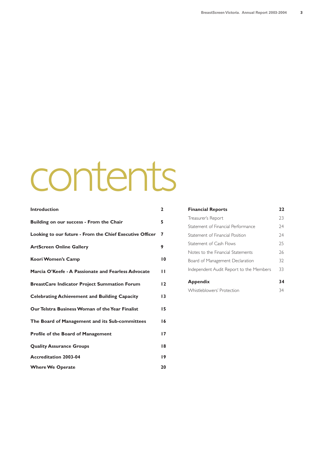# contents

| <b>Introduction</b>                                      | $\mathbf{2}$ |
|----------------------------------------------------------|--------------|
| Building on our success - From the Chair                 | 5.           |
| Looking to our future - From the Chief Executive Officer | 7            |
| <b>ArtScreen Online Gallery</b>                          | 9            |
| Koori Women's Camp                                       | 10           |
| Marcia O'Keefe - A Passionate and Fearless Advocate      | ш            |
| <b>BreastCare Indicator Project Summation Forum</b>      | 12           |
| <b>Celebrating Achievement and Building Capacity</b>     | 13           |
| Our Telstra Business Woman of the Year Finalist          | 15           |
| The Board of Management and its Sub-committees           | 16           |
| <b>Profile of the Board of Management</b>                | 17           |
| <b>Quality Assurance Groups</b>                          | 18           |
| <b>Accreditation 2003-04</b>                             | 19           |
| <b>Where We Operate</b>                                  | 20           |

| <b>Financial Reports</b>                | 22 |
|-----------------------------------------|----|
| Treasurer's Report                      | 23 |
| Statement of Financial Performance      | 24 |
| Statement of Financial Position         | 74 |
| Statement of Cash Flows                 | 25 |
| Notes to the Financial Statements       | 26 |
| Board of Management Declaration         | 32 |
| Independent Audit Report to the Members | 33 |
| <b>Appendix</b>                         | 34 |
|                                         |    |
| Whistleblowers' Protection              | 34 |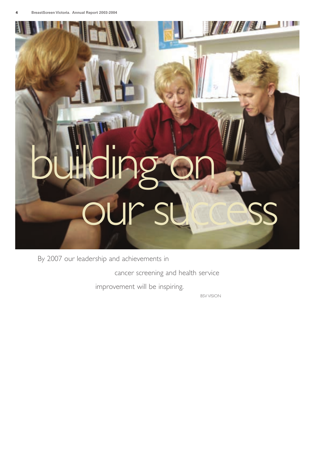

By 2007 our leadership and achievements in

cancer screening and health service

improvement will be inspiring.

BSV VISION

**A MARINE AND A MARINE**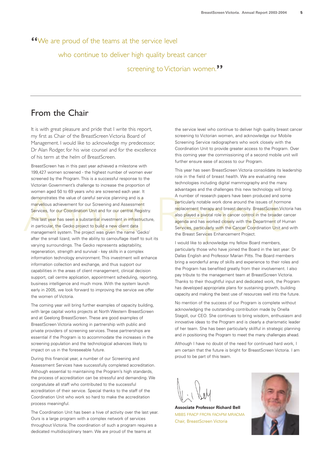**"**We are proud of the teams at the service level

who continue to deliver high quality breast cancer

screening to Victorian women.**"**

# From the Chair

It is with great pleasure and pride that I write this report, my first as Chair of the BreastScreen Victoria Board of Management. I would like to acknowledge my predecessor, Dr Alan Rodger, for his wise counsel and for the excellence of his term at the helm of BreastScreen.

BreastScreen has in this past year achieved a milestone with 199,427 women screened - the highest number of women ever screened by the Program. This is a successful response to the Victorian Government's challenge to increase the proportion of women aged 50 to 69 years who are screened each year. It demonstrates the value of careful service planning and is a marvellous achievement for our Screening and Assessment Services, for our Coordination Unit and for our central Registry.

This last year has seen a substantial investment in infrastructure, in particular, the Gecko project to build a new client data management system. The project was given the name 'Gecko' after the small lizard, with the ability to camouflage itself to suit its varying surroundings. The Gecko represents adaptability, regeneration, strength and survival - key skills in a complex information technology environment. This investment will enhance information collection and exchange, and thus support our capabilities in the areas of client management, clinical decision support, call centre application, appointment scheduling, reporting, business intelligence and much more. With the system launch early in 2005, we look forward to improving the service we offer the women of Victoria.

The coming year will bring further examples of capacity building, with large capital works projects at North Western BreastScreen and at Geelong BreastScreen. These are good examples of BreastScreen Victoria working in partnership with public and private providers of screening services. These partnerships are essential if the Program is to accommodate the increases in the screening population and the technological advances likely to impact on us in the foreseeable future.

During this financial year, a number of our Screening and Assessment Services have successfully completed accreditation. Although essential to maintaining the Program's high standards, the process of accreditation can be stressful and demanding. We congratulate all staff who contributed to the successful accreditation of their service. Special thanks to the staff of the Coordination Unit who work so hard to make the accreditation process meaningful.

The Coordination Unit has been a hive of activity over the last year. Ours is a large program with a complex network of services throughout Victoria. The coordination of such a program requires a dedicated multidisciplinary team. We are proud of the teams at

the service level who continue to deliver high quality breast cancer screening to Victorian women, and acknowledge our Mobile Screening Service radiographers who work closely with the Coordination Unit to provide greater access to the Program. Over this coming year the commissioning of a second mobile unit will further ensure ease of access to our Program.

demonstrates the value of careful service planning and is a<br>
Manumber of research papers have been produced and s<br>
marvellous achievement for our Screening and Assessment<br>
Services, for our Coordination Unit and for our ce This year has seen BreastScreen Victoria consolidate its leadership role in the field of breast health. We are evaluating new technologies including digital mammography and the many advantages and the challenges this new technology will bring. A number of research papers have been produced and some particularly notable work done around the issues of hormone replacement therapy and breast density. BreastScreen Victoria has also played a pivotal role in cancer control in the broader cancer agenda and has worked closely with the Department of Human Services, particularly with the Cancer Coordination Unit and with the Breast Services Enhancement Project.

I would like to acknowledge my fellow Board members, particularly those who have joined the Board in the last year: Dr Dallas English and Professor Marian Pitts. The Board members bring a wonderful array of skills and experience to their roles and the Program has benefited greatly from their involvement. I also pay tribute to the management team at BreastScreen Victoria. Thanks to their thoughtful input and dedicated work, the Program has developed appropriate plans for sustaining growth, building capacity and making the best use of resources well into the future.

No mention of the success of our Program is complete without acknowledging the outstanding contribution made by Onella Stagoll, our CEO. She continues to bring wisdom, enthusiasm and innovative ideas to the Program and is clearly a charismatic leader of her team. She has been particularly skillful in strategic planning and in positioning the Program to meet the many challenges ahead.

Although I have no doubt of the need for continued hard work, I am certain that the future is bright for BreastScreen Victoria. I am proud to be part of this team.

**Associate Professor Richard Bell** MBBS FRACP FRCPA FAChPM MRACMA Chair, BreastScreen Victoria

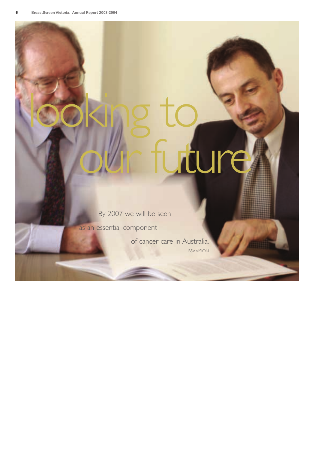# looking to ure

By 2007 we will be seen

as an essential component

of cancer care in Australia. BSV VISION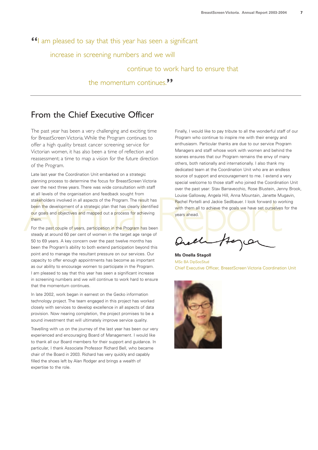# **"**I am pleased to say that this year has seen a significant

increase in screening numbers and we will

#### continue to work hard to ensure that

the momentum continues.**"**

# From the Chief Executive Officer

The past year has been a very challenging and exciting time for BreastScreen Victoria.While the Program continues to offer a high quality breast cancer screening service for Victorian women, it has also been a time of reflection and reassessment; a time to map a vision for the future direction of the Program.

Example the development of a strategic plan that has clearly identified<br>
The development of a strategic plan that has clearly identified<br>
The development of a strategic plan that has clearly identified<br>
The m.<br>
For the pas Late last year the Coordination Unit embarked on a strategic planning process to determine the focus for BreastScreen Victoria over the next three years. There was wide consultation with staff at all levels of the organisation and feedback sought from stakeholders involved in all aspects of the Program. The result has been the development of a strategic plan that has clearly identified our goals and objectives and mapped out a process for achieving them.

For the past couple of years, participation in the Program has been steady at around 60 per cent of women in the target age range of 50 to 69 years. A key concern over the past twelve months has been the Program's ability to both extend participation beyond this point and to manage the resultant pressure on our services. Our capacity to offer enough appointments has become as important as our ability to encourage women to participate in the Program. I am pleased to say that this year has seen a significant increase in screening numbers and we will continue to work hard to ensure that the momentum continues.

In late 2002, work began in earnest on the Gecko information technology project. The team engaged in this project has worked closely with services to develop excellence in all aspects of data provision. Now nearing completion, the project promises to be a sound investment that will ultimately improve service quality.

Travelling with us on the journey of the last year has been our very experienced and encouraging Board of Management. I would like to thank all our Board members for their support and guidance. In particular, I thank Associate Professor Richard Bell, who became chair of the Board in 2003. Richard has very quickly and capably filled the shoes left by Alan Rodger and brings a wealth of expertise to the role.

Finally, I would like to pay tribute to all the wonderful staff of our Program who continue to inspire me with their energy and enthusiasm. Particular thanks are due to our service Program Managers and staff whose work with women and behind the scenes ensures that our Program remains the envy of many others, both nationally and internationally. I also thank my dedicated team at the Coordination Unit who are an endless source of support and encouragement to me. I extend a very special welcome to those staff who joined the Coordination Unit over the past year: Stav Barravecchio, Rose Blustein, Jenny Brook, Louise Galloway, Angela Hill, Anna Mountain, Janette Mugavin, Rachel Portelli and Jackie Sedlbauer. I look forward to working with them all to achieve the goals we have set ourselves for the years ahead.

**Ms Onella Stagoll** MSc BA DipSocStud Chief Executive Officer, BreastScreen Victoria Coordination Unit

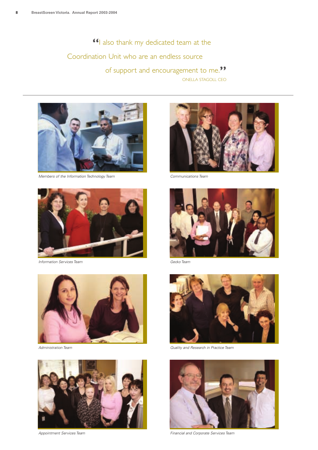**"**I also thank my dedicated team at the Coordination Unit who are an endless source of support and encouragement to me.**"** ONELLA STAGOLL CEO



*Members of the Information Technology Team*



*Information Services Team*



*Administration Team*



*Appointment Services Team*



*Communications Team*



*Gecko Team*



*Quality and Research in Practice Team*



*Financial and Corporate Services Team*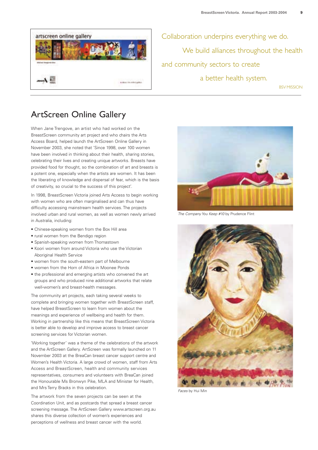

Collaboration underpins everything we do. We build alliances throughout the health and community sectors to create a better health system.

BSV MISSION

# ArtScreen Online Gallery

When Jane Trengove, an artist who had worked on the BreastScreen community art project and who chairs the Arts Access Board, helped launch the ArtScreen Online Gallery in November 2003, she noted that 'Since 1998, over 100 women have been involved in thinking about their health, sharing stories, celebrating their lives and creating unique artworks. Breasts have provided food for thought, so the combination of art and breasts is a potent one, especially when the artists are women. It has been the liberating of knowledge and dispersal of fear, which is the basis of creativity, so crucial to the success of this project'.

In 1998, BreastScreen Victoria joined Arts Access to begin working with women who are often marginalised and can thus have difficulty accessing mainstream health services. The projects involved urban and rural women, as well as women newly arrived in Australia, including:

- Chinese-speaking women from the Box Hill area
- rural women from the Bendigo region
- Spanish-speaking women from Thomastown
- Koori women from around Victoria who use the Victorian Aboriginal Health Service
- women from the south-eastern part of Melbourne
- women from the Horn of Africa in Moonee Ponds
- the professional and emerging artists who convened the art groups and who produced nine additional artworks that relate well-women's and breast-health messages.

The community art projects, each taking several weeks to complete and bringing women together with BreastScreen staff, have helped BreastScreen to learn from women about the meanings and experience of wellbeing and health for them. Working in partnership like this means that BreastScreen Victoria is better able to develop and improve access to breast cancer screening services for Victorian women.

'Working together' was a theme of the celebrations of the artwork and the ArtScreen Gallery. ArtScreen was formally launched on 11 November 2003 at the BreaCan breast cancer support centre and Women's Health Victoria. A large crowd of women, staff from Arts Access and BreastScreen, health and community services representatives, consumers and volunteers with BreaCan joined the Honourable Ms Bronwyn Pike, MLA and Minister for Health, and Mrs Terry Bracks in this celebration.

The artwork from the seven projects can be seen at the Coordination Unit, and as postcards that spread a breast cancer screening message. The ArtScreen Gallery www.artscreen.org.au shares this diverse collection of women's experiences and perceptions of wellness and breast cancer with the world.



*The Company You Keep #10* by Prudence Flint



*Faces* by Hui Min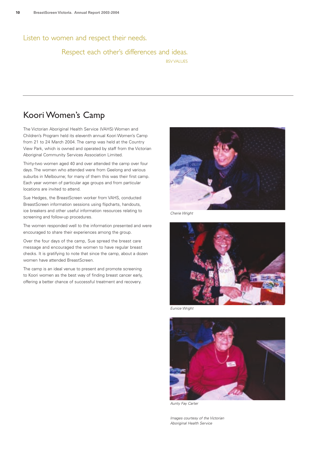Listen to women and respect their needs.

#### Respect each other's differences and ideas. BSV VALUES

# Koori Women's Camp

The Victorian Aboriginal Health Service (VAHS) Women and Children's Program held its eleventh annual Koori Women's Camp from 21 to 24 March 2004. The camp was held at the Country View Park, which is owned and operated by staff from the Victorian Aboriginal Community Services Association Limited.

Thirty-two women aged 40 and over attended the camp over four days. The women who attended were from Geelong and various suburbs in Melbourne; for many of them this was their first camp. Each year women of particular age groups and from particular locations are invited to attend.

Sue Hedges, the BreastScreen worker from VAHS, conducted BreastScreen information sessions using flipcharts, handouts, ice breakers and other useful information resources relating to screening and follow-up procedures.

The women responded well to the information presented and were encouraged to share their experiences among the group.

Over the four days of the camp, Sue spread the breast care message and encouraged the women to have regular breast checks. It is gratifying to note that since the camp, about a dozen women have attended BreastScreen.

The camp is an ideal venue to present and promote screening to Koori women as the best way of finding breast cancer early, offering a better chance of successful treatment and recovery.



*Cherie Wright*



*Eunice Wright*



*Aunty Fay Carter*

*Images courtesy of the Victorian Aboriginal Health Service*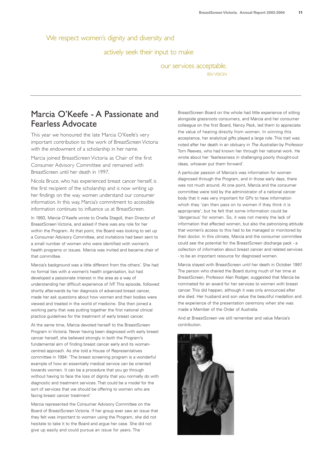We respect women's dignity and diversity and

actively seek their input to make

our services acceptable. BSVVISION

# Marcia O'Keefe - A Passionate and Fearless Advocate

This year we honoured the late Marcia O'Keefe's very important contribution to the work of BreastScreen Victoria with the endowment of a scholarship in her name.

Marcia joined BreastScreen Victoria as Chair of the first Consumer Advisory Committee and remained with BreastScreen until her death in 1997.

Nicola Bruce, who has experienced breast cancer herself, is the first recipient of the scholarship and is now writing up her findings on the way women understand our consumer information. In this way, Marcia's commitment to accessible information continues to influence us at BreastScreen.

In 1993, Marcia O'Keefe wrote to Onella Stagoll, then Director of BreastScreen Victoria, and asked if there was any role for her within the Program. At that point, the Board was looking to set up a Consumer Advisory Committee, and invitations had been sent to a small number of women who were identified with women's health programs or issues. Marcia was invited and became chair of that committee.

Marcia's background was a little different from the others'. She had no formal ties with a women's health organisation, but had developed a passionate interest in the area as a way of understanding her difficult experience of IVF. This episode, followed shortly afterwards by her diagnosis of advanced breast cancer, made her ask questions about how women and their bodies were viewed and treated in the world of medicine. She then joined a working party that was putting together the first national clinical practice guidelines for the treatment of early breast cancer.

At the same time, Marcia devoted herself to the BreastScreen Program in Victoria. Never having been diagnosed with early breast cancer herself, she believed strongly in both the Program's fundamental aim of finding breast cancer early and its womancentred approach. As she told a House of Representatives committee in 1994: 'The breast screening program is a wonderful example of how an essentially medical service can be oriented towards women. It can be a procedure that you go through without having to face the loss of dignity that you normally do with diagnostic and treatment services. That could be a model for the sort of services that we should be offering to women who are facing breast cancer treatment'.

Marcia represented the Consumer Advisory Committee on the Board of BreastScreen Victoria. If her group ever saw an issue that they felt was important to women using the Program, she did not hesitate to take it to the Board and argue her case. She did not give up easily and could pursue an issue for years. The

BreastScreen Board on the whole had little experience of sitting alongside grassroots consumers, and Marcia and her consumer colleague on the first Board, Nancy Peck, led them to appreciate the value of hearing directly from women. In winning this acceptance, her analytical gifts played a large role. This trait was noted after her death in an obituary in *The Australian* by Professor Tom Reeves, who had known her through her national work. He wrote about her 'fearlessness in challenging poorly thought-out ideas, whoever put them forward'.

A particular passion of Marcia's was information for women diagnosed through the Program, and in those early days, there was not much around. At one point, Marcia and the consumer committee were told by the administrator of a national cancer body that it was very important for GPs to have information which they 'can then pass on to women if they think it is appropriate'; but he felt that some information could be 'dangerous' for women. So, it was not merely the lack of information that affected women, but also the patronising attitude that women's access to this had to be managed or monitored by their doctor. In this climate, Marcia and the consumer committee could see the potential for the BreastScreen discharge pack - a collection of information about breast cancer and related services - to be an important resource for diagnosed women.

Marcia stayed with BreastScreen until her death in October 1997. The person who chaired the Board during much of her time at BreastScreen, Professor Alan Rodger, suggested that Marcia be nominated for an award for her services to women with breast cancer. This did happen, although it was only announced after she died. Her husband and son value the beautiful medallion and the experience of the presentation ceremony when she was made a Member of the Order of Australia.

And at BreastScreen we still remember and value Marcia's contribution.

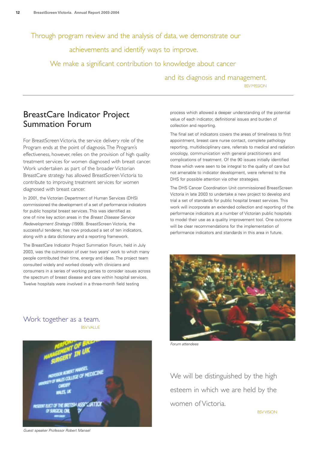Through program review and the analysis of data, we demonstrate our

achievements and identify ways to improve.

We make a significant contribution to knowledge about cancer

and its diagnosis and management. **BSV MISSION** 

# BreastCare Indicator Project Summation Forum

For BreastScreen Victoria, the service delivery role of the Program ends at the point of diagnosis.The Program's effectiveness, however, relies on the provision of high quality treatment services for women diagnosed with breast cancer. Work undertaken as part of the broader Victorian BreastCare strategy has allowed BreastScreen Victoria to contribute to improving treatment services for women diagnosed with breast cancer.

In 2001, the Victorian Department of Human Services (DHS) commissioned the development of a set of performance indicators for public hospital breast services. This was identified as one of nine key action areas in the *Breast Disease Service Redevelopment Strategy* (1999). BreastScreen Victoria, the successful tenderer, has now produced a set of ten indicators, along with a data dictionary and a reporting framework.

The BreastCare Indicator Project Summation Forum, held in July 2003, was the culmination of over two years' work to which many people contributed their time, energy and ideas. The project team consulted widely and worked closely with clinicians and consumers in a series of working parties to consider issues across the spectrum of breast disease and care within hospital services. Twelve hospitals were involved in a three-month field testing

process which allowed a deeper understanding of the potential value of each indicator, definitional issues and burden of collection and reporting.

The final set of indicators covers the areas of timeliness to first appointment, breast care nurse contact, complete pathology reporting, multidisciplinary care, referrals to medical and radiation oncology, communication with general practitioners and complications of treatment. Of the 90 issues initially identified those which were seen to be integral to the quality of care but not amenable to indicator development, were referred to the DHS for possible attention via other strategies.

The DHS Cancer Coordination Unit commissioned BreastScreen Victoria in late 2003 to undertake a new project to develop and trial a set of standards for public hospital breast services. This work will incorporate an extended collection and reporting of the performance indicators at a number of Victorian public hospitals to model their use as a quality improvement tool. One outcome will be clear recommendations for the implementation of performance indicators and standards in this area in future.



*Forum attendees*

We will be distinguished by the high esteem in which we are held by the women of Victoria.

BSVVISION

#### Work together as a team. **BSV VALUE**



*Guest speaker Professor Robert Mansel*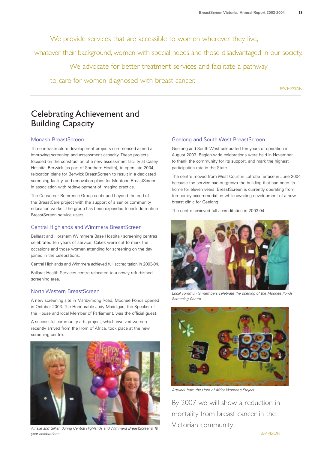We provide services that are accessible to women wherever they live,

whatever their background, women with special needs and those disadvantaged in our society.

We advocate for better treatment services and facilitate a pathway

to care for women diagnosed with breast cancer.

**BSV MISSION** 

# Celebrating Achievement and Building Capacity

#### Monash BreastScreen

Three infrastructure development projects commenced aimed at improving screening and assessment capacity. These projects focused on the construction of a new assessment facility at Casey Hospital Berwick (as part of Southern Health), to open late 2004, relocation plans for Berwick BreastScreen to result in a dedicated screening facility, and renovation plans for Mentone BreastScreen in association with redevelopment of imaging practice.

The Consumer Reference Group continued beyond the end of the BreastCare project with the support of a senior community education worker. The group has been expanded to include routine BreastScreen service users.

#### Central Highlands and Wimmera BreastScreen

Ballarat and Horsham (Wimmera Base Hospital) screening centres celebrated ten years of service. Cakes were cut to mark the occasions and those women attending for screening on the day joined in the celebrations.

Central Highlands and Wimmera achieved full accreditation in 2003-04.

Ballarat Health Services centre relocated to a newly refurbished screening area.

#### North Western BreastScreen

A new screening site in Maribyrnong Road, Moonee Ponds opened in October 2003. The Honourable Judy Maddigan, the Speaker of the House and local Member of Parliament, was the official guest.

A successful community arts project, which involved women recently arrived from the Horn of Africa, took place at the new screening centre.



*Ainslie and Gillian during Central Highlands and Wimmera BreastScreen's 10 year celebrations*

#### Geelong and South West BreastScreen

Geelong and South West celebrated ten years of operation in August 2003. Region-wide celebrations were held in November to thank the community for its support, and mark the highest participation rate in the State.

The centre moved from West Court in Latrobe Terrace in June 2004 because the service had outgrown the building that had been its home for eleven years. BreastScreen is currently operating from temporary accommodation while awaiting development of a new breast clinic for Geelong.

The centre achieved full accreditation in 2003-04.



*Local community members celebrate the opening of the Moonee Ponds Screening Centre*



*Artwork from the Horn of Africa Women's Project*

By 2007 we will show a reduction in mortality from breast cancer in the Victorian community.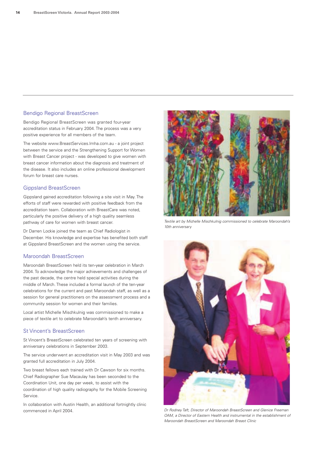#### Bendigo Regional BreastScreen

Bendigo Regional BreastScreen was granted four-year accreditation status in February 2004. The process was a very positive experience for all members of the team.

The website www.BreastServices.lmha.com.au - a joint project between the service and the Strengthening Support for Women with Breast Cancer project - was developed to give women with breast cancer information about the diagnosis and treatment of the disease. It also includes an online professional development forum for breast care nurses.

#### Gippsland BreastScreen

Gippsland gained accreditation following a site visit in May. The efforts of staff were rewarded with positive feedback from the accreditation team. Collaboration with BreastCare was noted, particularly the positive delivery of a high quality seamless pathway of care for women with breast cancer.

Dr Darren Lockie joined the team as Chief Radiologist in December. His knowledge and expertise has benefited both staff at Gippsland BreastScreen and the women using the service.

#### Maroondah BreastScreen

Maroondah BreastScreen held its ten-year celebration in March 2004. To acknowledge the major achievements and challenges of the past decade, the centre held special activities during the middle of March. These included a formal launch of the ten-year celebrations for the current and past Maroondah staff, as well as a session for general practitioners on the assessment process and a community session for women and their families.

Local artist Michelle Mischkulnig was commissioned to make a piece of textile art to celebrate Maroondah's tenth anniversary.

#### St Vincent's BreastScreen

St Vincent's BreastScreen celebrated ten years of screening with anniversary celebrations in September 2003.

The service underwent an accreditation visit in May 2003 and was granted full accreditation in July 2004.

Two breast fellows each trained with Dr Cawson for six months. Chief Radiographer Sue Macaulay has been seconded to the Coordination Unit, one day per week, to assist with the coordination of high quality radiography for the Mobile Screening Service.

In collaboration with Austin Health, an additional fortnightly clinic commenced in April 2004. *Dr Rodney Taft, Director of Maroondah BreastScreen and Glenice Freeman*



*Textile art by Michelle Mischkulnig commissioned to celebrate Maroondah's 10th anniversary*



*OAM, a Director of Eastern Health and instrumental in the establishment of Maroondah BreastScreen and Maroondah Breast Clinic*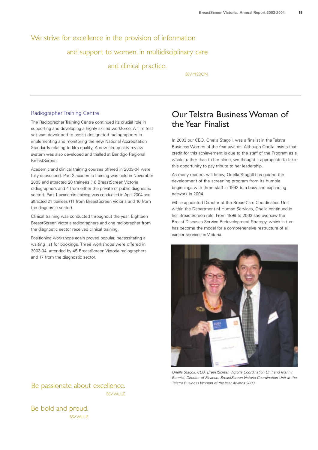# We strive for excellence in the provision of information and support to women, in multidisciplinary care

and clinical practice.

BSVMISSION

#### Radiographer Training Centre

The Radiographer Training Centre continued its crucial role in supporting and developing a highly skilled workforce. A film test set was developed to assist designated radiographers in implementing and monitoring the new National Accreditation Standards relating to film quality. A new film quality review system was also developed and trialled at Bendigo Regional BreastScreen.

Academic and clinical training courses offered in 2003-04 were fully subscribed. Part 2 academic training was held in November 2003 and attracted 20 trainees (16 BreastScreen Victoria radiographers and 4 from either the private or public diagnostic sector). Part 1 academic training was conducted in April 2004 and attracted 21 trainees (11 from BreastScreen Victoria and 10 from the diagnostic sector).

Clinical training was conducted throughout the year. Eighteen BreastScreen Victoria radiographers and one radiographer from the diagnostic sector received clinical training.

Positioning workshops again proved popular, necessitating a waiting list for bookings. Three workshops were offered in 2003-04, attended by 45 BreastScreen Victoria radiographers and 17 from the diagnostic sector.

# Our Telstra Business Woman of the Year Finalist

In 2003 our CEO, Onella Stagoll, was a finalist in the Telstra Business Women of the Year awards. Although Onella insists that credit for this achievement is due to the staff of the Program as a whole, rather than to her alone, we thought it appropriate to take this opportunity to pay tribute to her leadership.

As many readers will know, Onella Stagoll has guided the development of the screening program from its humble beginnings with three staff in 1992 to a busy and expanding network in 2004.

While appointed Director of the BreastCare Coordination Unit within the Department of Human Services, Onella continued in her BreastScreen role. From 1999 to 2003 she oversaw the Breast Diseases Service Redevelopment Strategy, which in turn has become the model for a comprehensive restructure of all cancer services in Victoria.



*Onella Stagoll, CEO, BreastScreen Victoria Coordination Unit and Manny Bonnici, Director of Finance, BreastScreen Victoria Coordination Unit at the Telstra Business Woman of the Year Awards 2003*

Be passionate about excellence. **BSV VALUE** 

Be bold and proud. **BSV VALUE**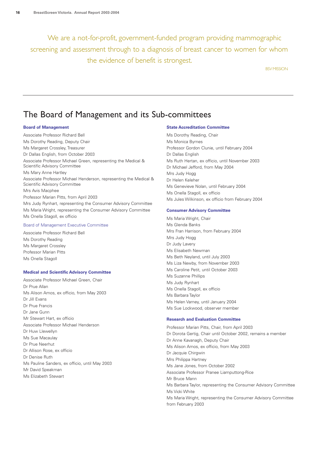We are a not-for-profit, government-funded program providing mammographic screening and assessment through to a diagnosis of breast cancer to women for whom the evidence of benefit is strongest.

**BSV MISSION** 

# The Board of Management and its Sub-committees

#### **Board of Management**

Associate Professor Richard Bell Ms Dorothy Reading, Deputy Chair Ms Margaret Crossley, Treasurer Dr Dallas English, from October 2003 Associate Professor Michael Green, representing the Medical & Scientific Advisory Committee Ms Mary Anne Hartley Associate Professor Michael Henderson, representing the Medical & Scientific Advisory Committee Mrs Avis Macphee Professor Marian Pitts, from April 2003 Mrs Judy Rynhart, representing the Consumer Advisory Committee Ms Maria Wright, representing the Consumer Advisory Committee Ms Onella Stagoll, ex officio

#### Board of Management Executive Committee

Associate Professor Richard Bell Ms Dorothy Reading Ms Margaret Crossley Professor Marian Pitts Ms Onella Stagoll

#### **Medical and Scientific Advisory Committee**

Associate Professor Michael Green, Chair Dr Prue Allan Ms Alison Amos, ex officio, from May 2003 Dr Jill Evans Dr Prue Francis Dr Jane Gunn Mr Stewart Hart, ex officio Associate Professor Michael Henderson Dr Huw Llewellyn Ms Sue Macaulay Dr Prue Neerhut Dr Allison Rose, ex officio Dr Denise Ruth Ms Pauline Sanders, ex officio, until May 2003 Mr David Speakman Ms Elizabeth Stewart

#### **State Accreditation Committee**

Ms Dorothy Reading, Chair Ms Monica Byrnes Professor Gordon Clunie, until February 2004 Dr Dallas English Ms Ruth Hertan, ex officio, until November 2003 Dr Michael Jefford, from May 2004 Mrs Judy Hogg Dr Helen Keleher Ms Genevieve Nolan, until February 2004 Ms Onella Stagoll, ex officio Ms Jules Wilkinson, ex officio from February 2004

#### **Consumer Advisory Committee**

Ms Maria Wright, Chair Ms Glenda Banks Mrs Fran Harrison, from February 2004 Mrs Judy Hogg Dr Judy Lavery Ms Elisabeth Newman Ms Beth Neyland, until July 2003 Ms Liza Newby, from November 2003 Ms Caroline Petit, until October 2003 Ms Suzanne Phillips Ms Judy Rynhart Ms Onella Stagoll, ex officio Ms Barbara Taylor Ms Helen Varney, until January 2004 Ms Sue Lockwood, observer member

#### **Research and Evaluation Committee**

Professor Marian Pitts, Chair, from April 2003 Dr Dorota Gertig, Chair until October 2002, remains a member Dr Anne Kavanagh, Deputy Chair Ms Alison Amos, ex officio, from May 2003 Dr Jacquie Chirgwin Mrs Philippa Hartney Ms Jane Jones, from October 2002 Associate Professor Pranee Liamputtong-Rice Mr Bruce Mann Ms Barbara Taylor, representing the Consumer Advisory Committee Ms Vicki White Ms Maria Wright, representing the Consumer Advisory Committee from February 2003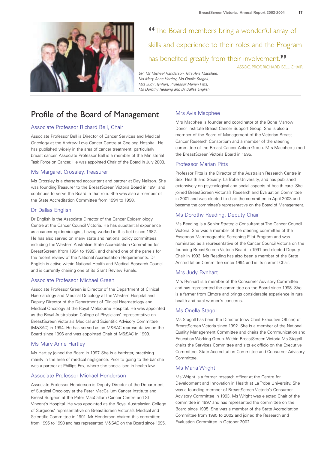

**"**The Board members bring a wonderful array of skills and experience to their roles and the Program has benefited greatly from their involvement.**"** ASSOC. PROF. RICHARD BELL CHAIR

*L-R: Mr Michael Handerson, Mrs Avis Macphee, Ms Mary Anne Hartley, Ms Onella Stagoll, Mrs Judy Rynhart, Professor Marian Pitts, Ms Dorothy Reading and Dr Dallas English*

# Profile of the Board of Management

#### Associate Professor Richard Bell, Chair

Associate Professor Bell is Director of Cancer Services and Medical Oncology at the Andrew Love Cancer Centre at Geelong Hospital. He has published widely in the area of cancer treatment, particularly breast cancer. Associate Professor Bell is a member of the Ministerial Task Force on Cancer. He was appointed Chair of the Board in July 2003.

#### Ms Margaret Crossley, Treasurer

Ms Crossley is a chartered accountant and partner at Day Neilson. She was founding Treasurer to the BreastScreen Victoria Board in 1991 and continues to serve the Board in that role. She was also a member of the State Accreditation Committee from 1994 to 1998.

#### Dr Dallas English

Dr English is the Associate Director of the Cancer Epidemiology Centre at the Cancer Council Victoria. He has substantial experience as a cancer epidemiologist, having worked in this field since 1982. He has also served on many state and national policy committees, including the Western Australian State Accreditation Committee for BreastScreen (from 1994 to 1999), and chaired one of the panels for the recent review of the National Accreditation Requirements. Dr English is active within National Health and Medical Research Council and is currently chairing one of its Grant Review Panels.

#### Associate Professor Michael Green

Associate Professor Green is Director of the Department of Clinical Haematology and Medical Oncology at the Western Hospital and Deputy Director of the Department of Clinical Haematology and Medical Oncology at the Royal Melbourne Hospital. He was appointed as the Royal Australasian College of Physicians' representative on BreastScreen Victoria's Medical and Scientific Advisory Committee (M&SAC) in 1994. He has served as an M&SAC representative on the Board since 1996 and was appointed Chair of M&SAC in 1999.

#### Ms Mary Anne Hartley

Ms Hartley joined the Board in 1997. She is a barrister, practising mainly in the area of medical negligence. Prior to going to the bar she was a partner at Phillips Fox, where she specialised in health law.

#### Associate Professor Michael Henderson

Associate Professor Henderson is Deputy Director of the Department of Surgical Oncology at the Peter MacCallum Cancer Institute and Breast Surgeon at the Peter MacCallum Cancer Centre and St Vincent's Hospital. He was appointed as the Royal Australasian College of Surgeons' representative on BreastScreen Victoria's Medical and Scientific Committee in 1991. Mr Henderson chaired this committee from 1995 to 1998 and has represented M&SAC on the Board since 1995.

#### Mrs Avis Macphee

Mrs Macphee is founder and coordinator of the Bone Marrow Donor Institute Breast Cancer Support Group. She is also a member of the Board of Management of the Victorian Breast Cancer Research Consortium and a member of the steering committee of the Breast Cancer Action Group. Mrs Macphee joined the BreastScreen Victoria Board in 1995.

#### Professor Marian Pitts

Professor Pitts is the Director of the Australian Research Centre in Sex, Health and Society, La Trobe University, and has published extensively on psychological and social aspects of health care. She joined BreastScreen Victoria's Research and Evaluation Committee in 2001 and was elected to chair the committee in April 2003 and became the committee's representative on the Board of Management.

#### Ms Dorothy Reading, Deputy Chair

Ms Reading is a Senior Strategic Consultant at The Cancer Council Victoria. She was a member of the steering committee of the Essendon Mammographic Screening Pilot Program and was nominated as a representative of the Cancer Council Victoria on the founding BreastScreen Victoria Board in 1991 and elected Deputy Chair in 1993. Ms Reading has also been a member of the State Accreditation Committee since 1994 and is its current Chair.

#### Mrs Judy Rynhart

Mrs Rynhart is a member of the Consumer Advisory Committee and has represented the committee on the Board since 1998. She is a farmer from Elmore and brings considerable experience in rural health and rural women's concerns.

#### Ms Onella Stagoll

Ms Stagoll has been the Director (now Chief Executive Officer) of BreastScreen Victoria since 1992. She is a member of the National Quality Management Committee and chairs the Communication and Education Working Group. Within BreastScreen Victoria Ms Stagoll chairs the Services Committee and sits ex officio on the Executive Committee, State Accreditation Committee and Consumer Advisory Committee.

#### Ms Maria Wright

Ms Wright is a former research officer at the Centre for Development and Innovation in Health at La Trobe University. She was a founding member of BreastScreen Victoria's Consumer Advisory Committee in 1993. Ms Wright was elected Chair of the committee in 1997 and has represented the committee on the Board since 1995. She was a member of the State Accreditation Committee from 1995 to 2002 and joined the Research and Evaluation Committee in October 2002.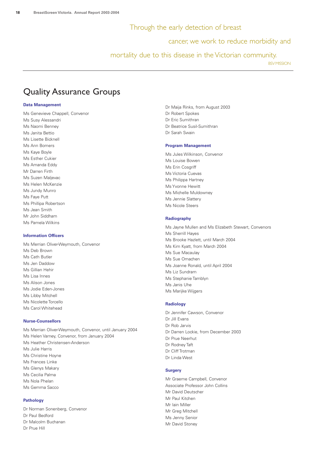#### Through the early detection of breast

cancer, we work to reduce morbidity and

mortality due to this disease in the Victorian community.

**BSV MISSION** 

# Quality Assurance Groups

#### **Data Management**

Ms Genevieve Chappell, Convenor Ms Susy Alessandri Ms Naomi Benney Ms Janita Bettio Ms Lisette Bicknell Ms Ann Bomers Ms Kaye Boyle Ms Esther Cukier Ms Amanda Eddy Mr Darren Firth Ms Suzen Maljevac Ms Helen McKenzie Ms Jundy Munro Ms Faye Putt Ms Phillipa Robertson Ms Jean Smith Mr John Siddham Ms Pamela Wilkins

#### **Information Officers**

Ms Merrian Oliver-Weymouth, Convenor Ms Deb Brown Ms Cath Butler Ms Jen Daddow Ms Gillian Hehir Ms Lisa Innes Ms Alison Jones Ms Jodie Eden-Jones Ms Libby Mitchell Ms Nicolette Torcello Ms Carol Whitehead

#### **Nurse-Counsellors**

Ms Merrian Oliver-Weymouth, Convenor, until January 2004 Ms Helen Varney, Convenor, from January 2004 Ms Heather Christensen-Anderson Ms Julie Harris Ms Christine Hoyne Ms Frances Linke Ms Glenys Makary Ms Cecilia Palma Ms Nola Phelan Ms Gemma Sacco

#### **Pathology**

Dr Norman Sonenberg, Convenor Dr Paul Bedford Dr Malcolm Buchanan Dr Prue Hill

Dr Maija Rinks, from August 2003 Dr Robert Spokes Dr Eric Sumithran Dr Beatrice Susil-Sumithran Dr Sarah Swain

#### **Program Management**

Ms Jules Wilkinson, Convenor Ms Louise Bowen Ms Erin Cosgriff Ms Victoria Cuevas Ms Philippa Hartney Ms Yvonne Hewitt Ms Michelle Muldowney Ms Jennie Slattery Ms Nicole Steers

#### **Radiography**

Ms Jayne Mullen and Ms Elizabeth Stewart, Convenors Ms Sherrill Hayes Ms Brooke Hazlett, until March 2004 Ms Kim Kyatt, from March 2004 Ms Sue Macaulay Ms Sue Omachen Ms Joanne Ronald, until April 2004 Ms Liz Sundram Ms Stephanie Tamblyn Ms Janis Uhe Ms Marijke Wijgers

#### **Radiology**

Dr Jennifer Cawson, Convenor Dr Jill Evans Dr Rob Jarvis Dr Darren Lockie, from December 2003 Dr Prue Neerhut Dr Rodney Taft Dr Cliff Trotman Dr Linda West

#### **Surgery**

Mr Graeme Campbell, Convenor Associate Professor John Collins Mr David Deutscher Mr Paul Kitchen Mr Iain Miller Mr Greg Mitchell Ms Jenny Senior Mr David Stoney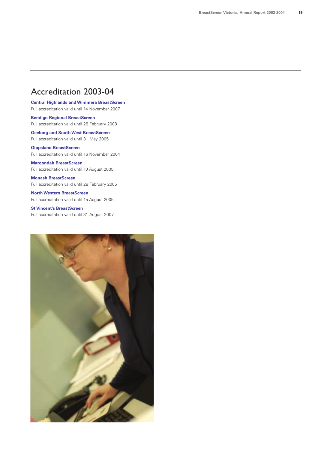# Accreditation 2003-04

**Central Highlands and Wimmera BreastScreen** Full accreditation valid until 14 November 2007

**Bendigo Regional BreastScreen** Full accreditation valid until 28 February 2008

**Geelong and South West BreastScreen** Full accreditation valid until 31 May 2005

**Gippsland BreastScreen** Full accreditation valid until 16 November 2004

**Maroondah BreastScreen** Full accreditation valid until 10 August 2005

**Monash BreastScreen** Full accreditation valid until 28 February 2005

**North Western BreastScreen** Full accreditation valid until 15 August 2005

**St Vincent's BreastScreen** Full accreditation valid until 31 August 2007

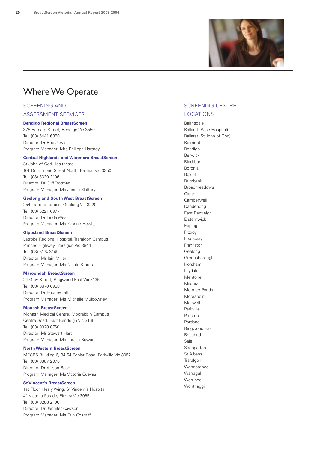

# Where We Operate

## SCREENING AND

ASSESSMENT SERVICES

#### **Bendigo Regional BreastScreen**

375 Barnard Street, Bendigo Vic 3550 Tel: (03) 5441 6850 Director: Dr Rob Jarvis Program Manager: Mrs Philippa Hartney

#### **Central Highlands and Wimmera BreastScreen**

St John of God Healthcare 101 Drummond Street North, Ballarat Vic 3350 Tel: (03) 5320 2106 Director: Dr Cliff Trotman Program Manager: Ms Jennie Slattery

#### **Geelong and South West BreastScreen**

254 Latrobe Terrace, Geelong Vic 3220 Tel: (03) 5221 6977 Director: Dr Linda West Program Manager: Ms Yvonne Hewitt

#### **Gippsland BreastScreen**

Latrobe Regional Hospital, Traralgon Campus Princes Highway, Traralgon Vic 3844 Tel: (03) 5174 3149 Director: Mr Iain Miller Program Manager: Ms Nicole Steers

#### **Maroondah BreastScreen**

24 Grey Street, Ringwood East Vic 3135 Tel: (03) 9870 0988 Director: Dr Rodney Taft Program Manager: Ms Michelle Muldowney

#### **Monash BreastScreen**

Monash Medical Centre, Moorabbin Campus Centre Road, East Bentleigh Vic 3165 Tel: (03) 9928 8760 Director: Mr Stewart Hart Program Manager: Ms Louise Bowen

#### **North Western BreastScreen**

MECRS Building 6, 34-54 Poplar Road, Parkville Vic 3052 Tel: (03) 8387 2070 Director: Dr Allison Rose Program Manager: Ms Victoria Cuevas

#### **St Vincent's BreastScreen**

1st Floor, Healy Wing, St Vincent's Hospital 41 Victoria Parade, Fitzroy Vic 3065 Tel: (03) 9288 2100 Director: Dr Jennifer Cawson Program Manager: Ms Erin Cosgriff

#### SCREENING CENTRE LOCATIONS

Bairnsdale Ballarat (Base Hospital) Ballarat (St John of God) Belmont Bendigo Berwick Blackburn Boronia Box Hill Brimbank Broadmeadows **Carlton** Camberwell Dandenong East Bentleigh Elsternwick Epping Fitzroy Footscray Frankston Geelong Greensborough Horsham Lilydale Mentone Mildura Moonee Ponds Moorabbin Morwell Parkville Preston Portland Ringwood East Rosebud Sale Shepparton St Albans **Traralgon** Warrnambool Warragul Werribee Wonthaggi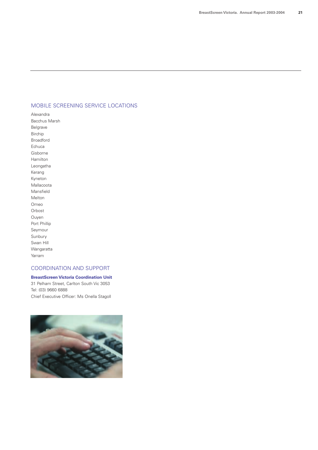#### MOBILE SCREENING SERVICE LOCATIONS

Alexandra Bacchus Marsh Belgrave Birchip Broadford Echuca Gisborne Hamilton Leongatha Kerang Kyneton Mallacoota Mansfield Melton Omeo Orbost Ouyen Port Phillip Seymour Sunbury Swan Hill Wangaratta Yarram

#### COORDINATION AND SUPPORT

**BreastScreen Victoria Coordination Unit** 31 Pelham Street, Carlton South Vic 3053 Tel: (03) 9660 6888 Chief Executive Officer: Ms Onella Stagoll

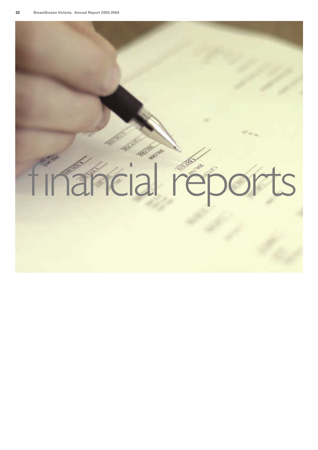# financial reports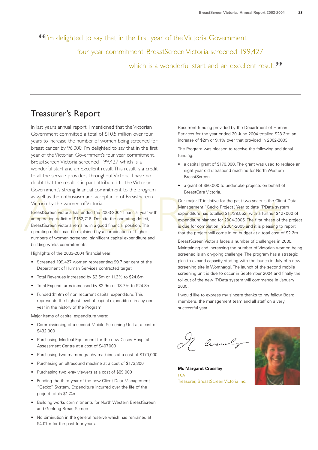**"**I'm delighted to say that in the first year of the Victoria Government

four year commitment, BreastScreen Victoria screened 199,427

which is a wonderful start and an excellent result.<sup>"</sup>

# Treasurer's Report

In last year's annual report, I mentioned that the Victorian Government committed a total of \$10.5 million over four years to increase the number of women being screened for breast cancer by 96,000. I'm delighted to say that in the first year of the Victorian Government's four year commitment, BreastScreen Victoria screened 199,427 which is a wonderful start and an excellent result.This result is a credit to all the service providers throughout Victoria. I have no doubt that the result is in part attributed to the Victorian Government's strong financial commitment to the program as well as the enthusiasm and acceptance of BreastScreen Victoria by the women of Victoria.

Experiment of the past Screen Victoria by the women of Victoria.<br>
BreastScreen Victoria has ended the 2003-2004 financial year with<br>
Annagement "Gecko Project". Year to date IT/Data systems<br>
an operating deficit of \$162,71 BreastScreen Victoria has ended the 2003-2004 financial year with an operating deficit of \$162,716. Despite the operating deficit, BreastScreen Victoria remains in a good financial position. The operating deficit can be explained by a combination of higher numbers of women screened, significant capital expenditure and building works commitments.

Highlights of the 2003-2004 financial year:

- Screened 199,427 women representing 99.7 per cent of the Department of Human Services contracted target
- Total Revenues increased by \$2.5m or 11.2% to \$24.6m
- Total Expenditures increased by \$2.9m or 13.7% to \$24.8m
- Funded \$1.9m of non recurrent capital expenditure. This represents the highest level of capital expenditure in any one year in the history of the Program.

Major items of capital expenditure were:

- Commissioning of a second Mobile Screening Unit at a cost of \$432,000
- Purchasing Medical Equipment for the new Casey Hospital Assessment Centre at a cost of \$407,000
- Purchasing two mammography machines at a cost of \$170,000
- Purchasing an ultrasound machine at a cost of \$173,300
- Purchasing two x-ray viewers at a cost of \$89,000
- Funding the third year of the new Client Data Management "Gecko" System. Expenditure incurred over the life of the project totals \$1.74m
- Building works commitments for North Western BreastScreen and Geelong BreastScreen
- No diminution in the general reserve which has remained at \$4.01m for the past four years.

Recurrent funding provided by the Department of Human Services for the year ended 30 June 2004 totalled \$23.3m: an increase of \$2m or 9.4% over that provided in 2002-2003.

The Program was pleased to receive the following additional funding:

- a capital grant of \$170,000. The grant was used to replace an eight year old ultrasound machine for North Western **BreastScreen**
- a grant of \$80,000 to undertake projects on behalf of BreastCare Victoria.

Our major IT initiative for the past two years is the Client Data Management "Gecko Project". Year to date IT/Data system expenditure has totalled \$1,739,552, with a further \$427,000 of expenditure planned for 2004-2005. The first phase of the project is due for completion in 2004-2005 and it is pleasing to report that the project will come in on budget at a total cost of \$2.2m.

BreastScreen Victoria faces a number of challenges in 2005. Maintaining and increasing the number of Victorian women being screened is an on-going challenge. The program has a strategic plan to expand capacity starting with the launch in July of a new screening site in Wonthaggi. The launch of the second mobile screening unit is due to occur in September 2004 and finally the roll-out of the new IT/Data system will commence in January 2005.

I would like to express my sincere thanks to my fellow Board members, the management team and all staff on a very successful year.

A Circuly



**Ms Margaret Crossley FCA** Treasurer, BreastScreen Victoria Inc.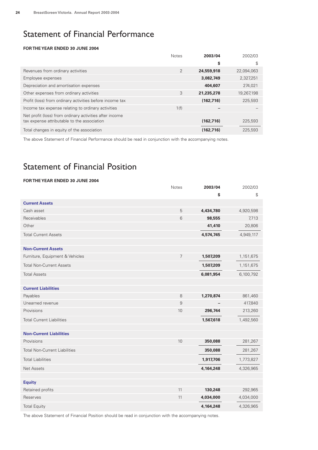# Statement of Financial Performance

#### **FOR THE YEAR ENDED 30 JUNE 2004**

|                                                          | <b>Notes</b>   | 2003/04    | 2002/03    |
|----------------------------------------------------------|----------------|------------|------------|
|                                                          |                | \$         | \$         |
| Revenues from ordinary activities                        | $\overline{2}$ | 24,559,918 | 22,094,063 |
| Employee expenses                                        |                | 3,082,749  | 2,327,251  |
| Depreciation and amortisation expenses                   |                | 404,607    | 274,021    |
| Other expenses from ordinary activities                  | 3              | 21,235,278 | 19,267,198 |
| Profit (loss) from ordinary activities before income tax |                | (162, 716) | 225,593    |
| Income tax expense relating to ordinary activities       | 1(f)           |            |            |
| Net profit (loss) from ordinary activities after income  |                |            |            |
| tax expense attributable to the association              |                | (162, 716) | 225,593    |
| Total changes in equity of the association               |                | (162, 716) | 225,593    |

The above Statement of Financial Performance should be read in conjunction with the accompanying notes.

# Statement of Financial Position

#### **FOR THE YEAR ENDED 30 JUNE 2004**

|                                      | <b>Notes</b>   | 2003/04   | 2002/03   |
|--------------------------------------|----------------|-----------|-----------|
|                                      |                | \$        | \$        |
| <b>Current Assets</b>                |                |           |           |
| Cash asset                           | 5              | 4,434,780 | 4,920,598 |
| Receivables                          | 6              | 98,555    | 7,713     |
| Other                                |                | 41,410    | 20,806    |
| <b>Total Current Assets</b>          |                | 4,574,745 | 4,949,117 |
| <b>Non-Current Assets</b>            |                |           |           |
| Furniture, Equipment & Vehicles      | $\overline{7}$ | 1,507,209 | 1,151,675 |
| <b>Total Non-Current Assets</b>      |                | 1,507,209 | 1,151,675 |
| <b>Total Assets</b>                  |                | 6,081,954 | 6,100,792 |
| <b>Current Liabilities</b>           |                |           |           |
| Payables                             | 8              | 1,270,874 | 861,460   |
| Unearned revenue                     | 9              |           | 417,840   |
| Provisions                           | 10             | 296,744   | 213,260   |
| <b>Total Current Liabilities</b>     |                | 1,567,618 | 1,492,560 |
| <b>Non-Current Liabilities</b>       |                |           |           |
| Provisions                           | 10             | 350,088   | 281,267   |
| <b>Total Non-Current Liabilities</b> |                | 350,088   | 281,267   |
| <b>Total Liabilities</b>             |                | 1,917,706 | 1,773,827 |
| <b>Net Assets</b>                    |                | 4,164,248 | 4,326,965 |
| <b>Equity</b>                        |                |           |           |
| Retained profits                     | 11             | 130,248   | 292,965   |
| Reserves                             | 11             | 4,034,000 | 4,034,000 |
| <b>Total Equity</b>                  |                | 4,164,248 | 4,326,965 |

The above Statement of Financial Position should be read in conjunction with the accompanying notes.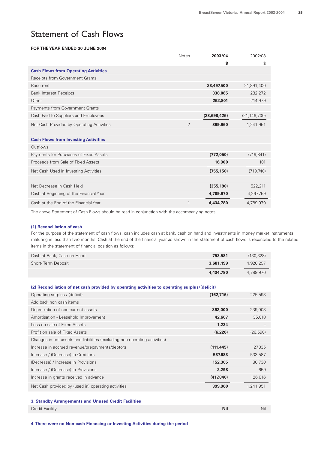# Statement of Cash Flows

#### **FOR THE YEAR ENDED 30 JUNE 2004**

|                                             | <b>Notes</b>   | 2003/04      | 2002/03        |
|---------------------------------------------|----------------|--------------|----------------|
|                                             |                | \$           | \$             |
| <b>Cash Flows from Operating Activities</b> |                |              |                |
| Receipts from Government Grants             |                |              |                |
| Recurrent                                   |                | 23,497,500   | 21,891,400     |
| <b>Bank Interest Receipts</b>               |                | 338,085      | 282,272        |
| Other                                       |                | 262,801      | 214,979        |
| Payments from Government Grants             |                |              |                |
| Cash Paid to Suppliers and Employees        |                | (23,698,426) | (21, 146, 700) |
| Net Cash Provided by Operating Activities   | $\overline{2}$ | 399,960      | 1,241,951      |
|                                             |                |              |                |
| <b>Cash Flows from Investing Activities</b> |                |              |                |
| Outflows                                    |                |              |                |
| Payments for Purchases of Fixed Assets      |                | (772,050)    | (719, 841)     |
| Proceeds from Sale of Fixed Assets          |                | 16,900       | 101            |
| Net Cash Used in Investing Activities       |                | (755, 150)   | (719, 740)     |
|                                             |                |              |                |
| Net Decrease in Cash Held                   |                | (355, 190)   | 522,211        |
| Cash at Beginning of the Financial Year     |                | 4,789,970    | 4,267,759      |
| Cash at the End of the Financial Year       | 1              | 4.434.780    | 4,789,970      |

The above Statement of Cash Flows should be read in conjunction with the accompanying notes.

#### **(1) Reconciliation of cash**

For the purpose of the statement of cash flows, cash includes cash at bank, cash on hand and investments in money market instruments maturing in less than two months. Cash at the end of the financial year as shown in the statement of cash flows is reconciled to the related items in the statement of financial position as follows:

| Cash at Bank, Cash on Hand | 753,581   | (130, 328) |
|----------------------------|-----------|------------|
| Short-Term Deposit         | 3,681,199 | 4.920.297  |
|                            | 4,434,780 | 4.789.970  |

| (2) Reconciliation of net cash provided by operating activities to operating surplus/(deficit) |            |           |
|------------------------------------------------------------------------------------------------|------------|-----------|
| Operating surplus / (deficit)                                                                  | (162, 716) | 225,593   |
| Add back non cash items                                                                        |            |           |
| Depreciation of non-current assets                                                             | 362,000    | 239,003   |
| Amortisation - Leasehold Improvement                                                           | 42,607     | 35,018    |
| Loss on sale of Fixed Assets                                                                   | 1,234      |           |
| Profit on sale of Fixed Assets                                                                 | (6,226)    | (26,590)  |
| Changes in net assets and liabilities (excluding non-operating activities)                     |            |           |
| Increase in accrued revenue/prepayments/debtors                                                | (111, 445) | 27,335    |
| Increase / (Decrease) in Creditors                                                             | 537,683    | 533,587   |
| (Decrease) / Increase in Provisions                                                            | 152,305    | 80,730    |
| Increase / (Decrease) in Provisions                                                            | 2,298      | 659       |
| Increase in grants received in advance                                                         | (417, 840) | 126,616   |
| Net Cash provided by (used in) operating activities                                            | 399,960    | 1,241,951 |

#### **3. Standby Arrangements and Unused Credit Facilities**

| Credit Facility | <b>Nil</b> | Nil |
|-----------------|------------|-----|
|                 |            |     |

**4.There were no Non-cash Financing or Investing Activities during the period**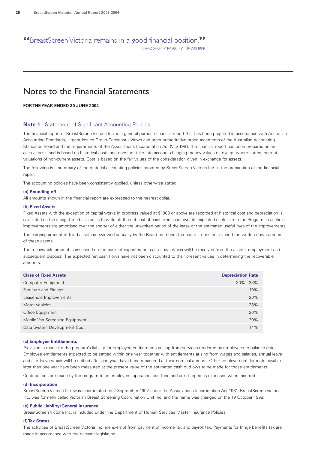## **"**BreastScreen Victoria remains in a good financial position.**"** MARGARET CROSSLEY TREASURER

# Notes to the Financial Statements

#### **FOR THE YEAR ENDED 30 JUNE 2004**

#### **Note 1** - Statement of Significant Accounting Policies

The financial report of BreastScreen Victoria Inc. is a general purpose financial report that has been prepared in accordance with Australian Accounting Standards, Urgent Issues Group Consensus Views and other authoritative pronouncements of the Australian Accounting Standards Board and the requirements of the Associations Incorporation Act (Vic) 1981. The financial report has been prepared on an accrual basis and is based on historical costs and does not take into account changing money values or, except where stated, current valuations of non-current assets. Cost is based on the fair values of the consideration given in exchange for assets.

The following is a summary of the material accounting policies adopted by BreastScreen Victoria Inc. in the preparation of the financial report.

The accounting policies have been consistently applied, unless otherwise stated.

#### **(a) Rounding off**

All amounts shown in the financial report are expressed to the nearest dollar.

#### **(b) Fixed Assets**

Fixed Assets with the exception of capital works in progress valued at \$1000 or above are recorded at historical cost and depreciation is calculated on the straight line basis so as to write off the net cost of each fixed asset over its expected useful life to the Program. Leasehold improvements are amortised over the shorter of either the unexpired period of the lease or the estimated useful lives of the improvements.

The carrying amount of fixed assets is reviewed annually by the Board members to ensure it does not exceed the written down amount of these assets.

The recoverable amount is assessed on the basis of expected net cash flows which will be received from the assets' employment and subsequent disposal. The expected net cash flows have not been discounted to their present values in determining the recoverable amounts.

| <b>Class of Fixed Assets</b>   | <b>Depreciation Rate</b> |
|--------------------------------|--------------------------|
| Computer Equipment             | $30\% - 33\%$            |
| Furniture and Fittings         | 10%                      |
| Leasehold Improvements         | 20%                      |
| Motor Vehicles                 | 33%                      |
| Office Equipment               | 20%                      |
| Mobile Van Screening Equipment | 20%                      |
| Data System Development Cost   | 14%                      |

#### **(c) Employee Entitlements**

Provision is made for the program's liability for employee entitlements arising from services rendered by employees to balance date. Employee entitlements expected to be settled within one year together with entitlements arising from wages and salaries, annual leave and sick leave which will be settled after one year, have been measured at their nominal amount. Other employee entitlements payable later than one year have been measured at the present value of the estimated cash outflows to be made for those entitlements.

Contributions are made by the program to an employee superannuation fund and are charged as expenses when incurred.

#### **(d) Incorporation**

BreastScreen Victoria Inc. was incorporated on 2 September 1992 under the Associations Incorporation Act 1981. BreastScreen Victoria Inc. was formerly called Victorian Breast Screening Coordination Unit Inc. and the name was changed on the 19 October 1998.

#### **(e) Public Liability/General Insurance**

BreastScreen Victoria Inc. is included under the Department of Human Services Master Insurance Policies.

#### **(f) Tax Status**

The activities of BreastScreen Victoria Inc. are exempt from payment of income tax and payroll tax. Payments for fringe benefits tax are made in accordance with the relevant legislation.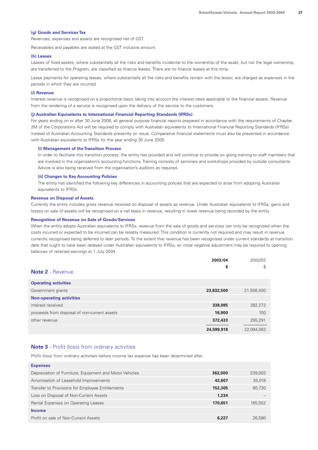#### **(g) Goods and Services Tax**

Revenues, expenses and assets are recognised net of GST.

Receivables and payables are stated at the GST inclusive amount.

#### **(h) Leases**

Leases of fixed assets, where substantially all the risks and benefits incidental to the ownership of the asset, but not the legal ownership, are transferred to the Program, are classified as finance leases. There are no finance leases at this time.

Lease payments for operating leases, where substantially all the risks and benefits remain with the lessor, are charged as expenses in the periods in which they are incurred.

#### **(i) Revenue**

Interest revenue is recognised on a proportional basis taking into account the interest rates applicable to the financial assets. Revenue from the rendering of a service is recognised upon the delivery of the service to the customers.

#### **(j) Australian Equivalents to International Financial Reporting Standards (IFRSs)**

For years ending on or after 30 June 2006, all general purpose financial reports prepared in accordance with the requirements of Chapter 2M of the Corporations Act will be required to comply with Australian equivalents to International Financial Reporting Standards (IFRSs) instead of Australian Accounting Standards presently on issue. Comparative financial statements must also be presented in accordance with Australian equivalents to IFRSs for the year ending 30 June 2005.

#### **(i) Management of the Transition Process**

In order to facilitate this transition process, the entity has provided and will continue to provide on going training to staff members that are involved in the organisation's accounting functions. Training consists of seminars and workshops provided by outside consultants. Advice is also being received from the organisation's auditors as required.

#### **(ii) Changes to Key Accounting Policies**

The entity has identified the following key differences in accounting policies that are expected to arise from adopting Australian equivalents to IFRSs.

#### **Revenue on Disposal of Assets**

Currently the entity includes gross revenue received on disposal of assets as revenue. Under Australian equivalents to IFRSs, gains and losses on sale of assets will be recognised on a net basis in revenue, resulting in lower revenue being recorded by the entity.

#### **Recognition of Revenue on Sale of Goods/Services**

When the entity adopts Australian equivalents to IFRSs, revenue from the sale of goods and services can only be recognised when the costs incurred or expected to be incurred can be reliably measured. This condition is currently not required and may result in revenue currently recognised being deferred to later periods. To the extent that revenue has been recognised under current standards at transition date that ought to have been delayed under Australian equivalents to IFRSs, an initial negative adjustment may be required to opening balances of retained earnings at 1 July 2004.

|                                              | 2003/04    | 2002/03    |
|----------------------------------------------|------------|------------|
| <b>Note 2</b> - Revenue                      | \$         | \$         |
| <b>Operating activities</b>                  |            |            |
| Government grants                            | 23,832,500 | 21,556,400 |
| <b>Non-operating activities</b>              |            |            |
| interest received                            | 338,085    | 282,272    |
| proceeds from disposal of non-current assets | 16,900     | 100        |
| other revenue                                | 372,433    | 255,291    |
|                                              | 24,599,918 | 22.094.063 |

#### **Note 3** - Profit (loss) from ordinary activities

Profit (loss) from ordinary activities before income tax expense has been determined after:

| 362,000 | 239,003 |
|---------|---------|
| 42,607  | 35,018  |
| 152,305 | 80,730  |
| 1.234   |         |
| 170.651 | 165,552 |
|         |         |
| 6,227   | 26,590  |
|         |         |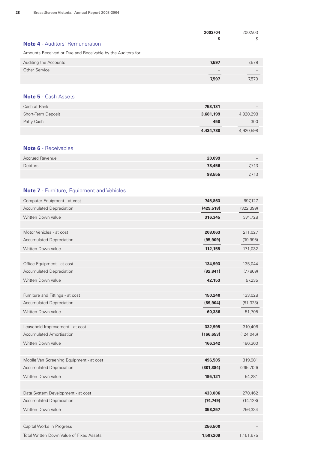| <b>Note 4</b> - Auditors' Remuneration<br>Amounts Received or Due and Receivable by the Auditors for: | 2003/04<br>\$ | 2002/03<br>\$ |
|-------------------------------------------------------------------------------------------------------|---------------|---------------|
| Auditing the Accounts                                                                                 | 7,597         | 7,579         |
| Other Service                                                                                         |               |               |
|                                                                                                       | 7,597         | 7.579         |

#### **Note 5** - Cash Assets

| Cash at Bank       | 753,131   |           |
|--------------------|-----------|-----------|
| Short-Term Deposit | 3,681,199 | 4,920,298 |
| Petty Cash         | 450       | 300       |
|                    | 4,434,780 | 4,920,598 |

#### **Note 6** - Receivables

| <b>Accrued Revenue</b> | 20,099 |              |
|------------------------|--------|--------------|
| Debtors                | 78,456 | 7,713<br>___ |
|                        | 98,555 | 7,713        |

#### **Note 7** - Furniture, Equipment and Vehicles

| Computer Equipment - at cost             | 745,863    | 697,127    |
|------------------------------------------|------------|------------|
| Accumulated Depreciation                 | (429, 518) | (322, 399) |
| Written Down Value                       | 316,345    | 374,728    |
|                                          |            |            |
| Motor Vehicles - at cost                 | 208,063    | 211,027    |
| <b>Accumulated Depreciation</b>          | (95, 909)  | (39,995)   |
| Written Down Value                       | 112,155    | 171,032    |
|                                          |            |            |
| Office Equipment - at cost               | 134,993    | 135,044    |
| <b>Accumulated Depreciation</b>          | (92, 841)  | (77,809)   |
| Written Down Value                       | 42,153     | 57,235     |
|                                          |            |            |
| Furniture and Fittings - at cost         | 150,240    | 133,028    |
| <b>Accumulated Depreciation</b>          | (89, 904)  | (81, 323)  |
| <b>Written Down Value</b>                | 60,336     | 51,705     |
|                                          |            |            |
| Leasehold Improvement - at cost          | 332,995    | 310,406    |
| <b>Accumulated Amortisation</b>          | (166, 653) | (124, 046) |
| Written Down Value                       | 166,342    | 186,360    |
|                                          |            |            |
| Mobile Van Screening Equipment - at cost | 496,505    | 319,981    |
| <b>Accumulated Depreciation</b>          | (301, 384) | (265, 700) |
| <b>Written Down Value</b>                | 195,121    | 54,281     |
|                                          |            |            |
| Data System Development - at cost        | 433,006    | 270,462    |
| Accumulated Depreciation                 | (74, 749)  | (14, 128)  |
| Written Down Value                       | 358,257    | 256,334    |
|                                          |            |            |
| Capital Works in Progress                | 256,500    |            |
| Total Written Down Value of Fixed Assets | 1,507,209  | 1,151,675  |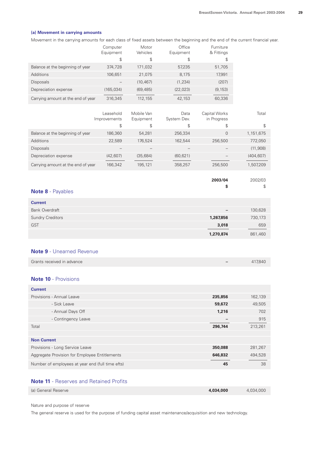#### **(a) Movement in carrying amounts**

Movement in the carrying amounts for each class of fixed assets between the beginning and the end of the current financial year.

|                                    | Computer<br>Equipment | Motor<br>Vehicles | Office<br>Equipment | Furniture<br>& Fittings |
|------------------------------------|-----------------------|-------------------|---------------------|-------------------------|
|                                    | \$                    | \$                | \$                  | \$                      |
| Balance at the beginning of year   | 374,728               | 171,032           | 57,235              | 51,705                  |
| Additions                          | 106,651               | 21,075            | 8.175               | 17,991                  |
| <b>Disposals</b>                   |                       | (10, 467)         | (1,234)             | (207)                   |
| Depreciation expense               | (165, 034)            | (69, 485)         | (22, 023)           | (9, 153)                |
| Carrying amount at the end of year | 316,345               | 112,155           | 42,153              | 60,336                  |

|                                    | Leasehold<br>Improvements | Mobile Van<br>Equipment | Data<br>System Dev. | Capital Works<br>in Progress | Total     |
|------------------------------------|---------------------------|-------------------------|---------------------|------------------------------|-----------|
|                                    | \$                        | \$                      | \$                  | \$                           | \$.       |
| Balance at the beginning of year   | 186,360                   | 54,281                  | 256,334             | 0                            | 1,151,675 |
| <b>Additions</b>                   | 22,589                    | 176.524                 | 162,544             | 256,500                      | 772,050   |
| <b>Disposals</b>                   |                           |                         |                     |                              | (11,908)  |
| Depreciation expense               | (42, 607)                 | (35,684)                | (60, 621)           |                              | (404.607) |
| Carrying amount at the end of year | 166,342                   | 195,121                 | 358,257             | 256,500                      | 1,507,209 |

|                          | 2003/04   | 2002/03 |
|--------------------------|-----------|---------|
| <b>Note 8</b> - Payables | \$        | \$      |
| <b>Current</b>           |           |         |
| <b>Bank Overdraft</b>    |           | 130,628 |
| <b>Sundry Creditors</b>  | 1,267,856 | 730,173 |
| <b>GST</b>               | 3,018     | 659     |
|                          | 1,270,874 | 861,460 |

#### **Note 9** - Unearned Revenue

| Grants received in advance | 417.840 |
|----------------------------|---------|
|                            |         |

#### **Note 10** - Provisions

| <b>Current</b>                                   |         |         |
|--------------------------------------------------|---------|---------|
| Provisions - Annual Leave                        | 235,856 | 162,139 |
| - Sick Leave                                     | 59,672  | 49,505  |
| - Annual Days Off                                | 1,216   | 702     |
| - Contingency Leave                              |         | 915     |
| Total                                            | 296,744 | 213,261 |
|                                                  |         |         |
| <b>Non Current</b>                               |         |         |
| Provisions - Long Service Leave                  | 350,088 | 281,267 |
| Aggregate Provision for Employee Entitlements    | 646,832 | 494,528 |
| Number of employees at year end (full time efts) | 45      | 38      |

#### **Note 11** - Reserves and Retained Profits

| (a) General Reserve | 4.034.000 | 4.034.000 |
|---------------------|-----------|-----------|
|                     |           |           |

Nature and purpose of reserve

The general reserve is used for the purpose of funding capital asset maintenance/acquisition and new technology.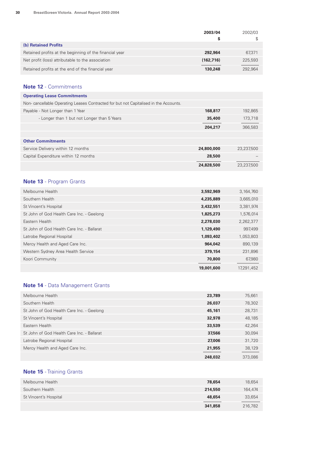|                                                         | 2003/04    | 2002/03 |
|---------------------------------------------------------|------------|---------|
|                                                         | S          |         |
| (b) Retained Profits                                    |            |         |
| Retained profits at the beginning of the financial year | 292,964    | 67,371  |
| Net profit (loss) attributable to the association       | (162, 716) | 225,593 |
| Retained profits at the end of the financial year       | 130,248    | 292.964 |

#### **Note 12** - Commitments

| <b>Operating Lease Commitments</b>                                                   |            |            |
|--------------------------------------------------------------------------------------|------------|------------|
| Non-cancellable Operating Leases Contracted for but not Capitalised in the Accounts. |            |            |
| Payable - Not Longer than 1 Year                                                     | 168,817    | 192,865    |
| - Longer than 1 but not Longer than 5 Years                                          | 35,400     | 173,718    |
|                                                                                      | 204,217    | 366,583    |
|                                                                                      |            |            |
| <b>Other Commitments</b>                                                             |            |            |
| Service Delivery within 12 months                                                    | 24,800,000 | 23,237,500 |
| Capital Expenditure within 12 months                                                 | 28,500     |            |
|                                                                                      | 24,828,500 | 23.237.500 |

## **Note 13** - Program Grants

| Melbourne Health                           | 3,592,969  | 3,164,760  |
|--------------------------------------------|------------|------------|
| Southern Health                            | 4,235,889  | 3,665,010  |
| St Vincent's Hospital                      | 3,432,551  | 3,381,974  |
| St John of God Health Care Inc. - Geelong  | 1,825,273  | 1,576,014  |
| Eastern Health                             | 2,278,030  | 2,262,377  |
| St John of God Health Care Inc. - Ballarat | 1,129,490  | 997,499    |
| Latrobe Regional Hospital                  | 1,093,402  | 1,053,803  |
| Mercy Health and Aged Care Inc.            | 964,042    | 890,139    |
| Western Sydney Area Health Service         | 379,154    | 231,896    |
| Koori Community                            | 70,800     | 67,980     |
|                                            | 19,001,600 | 17,291,452 |

## **Note 14** - Data Management Grants

| Melbourne Health                           | 23,789  | 75,661  |
|--------------------------------------------|---------|---------|
| Southern Health                            | 26,037  | 78,302  |
| St John of God Health Care Inc. - Geelong  | 45,161  | 28,731  |
| St Vincent's Hospital                      | 32,978  | 48,185  |
| Eastern Health                             | 33,539  | 42,264  |
| St John of God Health Care Inc. - Ballarat | 37,566  | 30,094  |
| Latrobe Regional Hospital                  | 27,006  | 31,720  |
| Mercy Health and Aged Care Inc.            | 21,955  | 38,129  |
|                                            | 248,032 | 373,086 |

## **Note 15** - Training Grants

| Melbourne Health      | 78,654  | 18,654  |
|-----------------------|---------|---------|
| Southern Health       | 214,550 | 164,474 |
| St Vincent's Hospital | 48,654  | 33,654  |
|                       | 341,858 | 216,782 |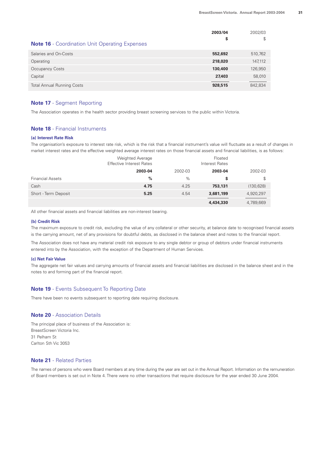|                                                       | 2003/04 | 2002/03 |
|-------------------------------------------------------|---------|---------|
| <b>Note 16</b> - Coordination Unit Operating Expenses | \$      | S       |
| Salaries and On-Costs                                 | 552,692 | 510,762 |
| Operating                                             | 218,020 | 147,112 |
| Occupancy Costs                                       | 130,400 | 126,950 |
| Capital                                               | 27,403  | 58,010  |
| <b>Total Annual Running Costs</b>                     | 928,515 | 842.834 |

#### **Note 17** - Segment Reporting

The Association operates in the health sector providing breast screening services to the public within Victoria.

#### **Note 18** - Financial Instruments

#### **(a) Interest Rate Risk**

The organisation's exposure to interest rate risk, which is the risk that a financial instrument's value will fluctuate as a result of changes in market interest rates and the effective weighted average interest rates on those financial assets and financial liabilities, is as follows:

|                         | <b>Weighted Average</b><br><b>Effective Interest Rates</b><br>2003-04 |         | Floated<br>Interest Rates |            |
|-------------------------|-----------------------------------------------------------------------|---------|---------------------------|------------|
|                         |                                                                       | 2002-03 | 2003-04                   | 2002-03    |
| <b>Financial Assets</b> | %                                                                     | $\%$    | \$                        | \$         |
| Cash                    | 4.75                                                                  | 4.25    | 753,131                   | (130, 628) |
| Short - Term Deposit    | 5.25                                                                  | 4.54    | 3,681,199                 | 4,920,297  |
|                         |                                                                       |         | 4,434,330                 | 4,789,669  |

All other financial assets and financial liabilities are non-interest bearing.

#### **(b) Credit Risk**

The maximum exposure to credit risk, excluding the value of any collateral or other security, at balance date to recognised financial assets is the carrying amount, net of any provisions for doubtful debts, as disclosed in the balance sheet and notes to the financial report.

The Association does not have any material credit risk exposure to any single debtor or group of debtors under financial instruments entered into by the Association, with the exception of the Department of Human Services.

#### **(c) Net Fair Value**

The aggregate net fair values and carrying amounts of financial assets and financial liabilities are disclosed in the balance sheet and in the notes to and forming part of the financial report.

#### **Note 19** - Events Subsequent To Reporting Date

There have been no events subsequent to reporting date requiring disclosure.

#### **Note 20** - Association Details

The principal place of business of the Association is: BreastScreen Victoria Inc. 31 Pelham St Carlton Sth Vic 3053

#### **Note 21** - Related Parties

The names of persons who were Board members at any time during the year are set out in the Annual Report. Information on the remuneration of Board members is set out in Note 4. There were no other transactions that require disclosure for the year ended 30 June 2004.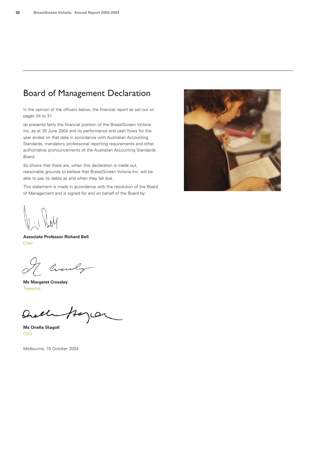# Board of Management Declaration

In the opinion of the officers below, the financial report as set out on pages 24 to 31.

(a) presents fairly the financial position of the BreastScreen Victoria Inc. as at 30 June 2004 and its performance and cash flows for the year ended on that date in accordance with Australian Accounting Standards, mandatory professional reporting requirements and other authoritative pronouncements of the Australian Accounting Standards Board.

(b) shows that there are, when this declaration is made out, reasonable grounds to believe that BreastScreen Victoria Inc. will be able to pay its debts as and when they fall due.

This statement is made in accordance with the resolution of the Board of Management and is signed for and on behalf of the Board by:



**Associate Professor Richard Bell** Chair

Circuly

**Ms Margaret Crossley Treasurer** 

Quel مصر ممص

**Ms Onella Stagoll** CEO

Melbourne, 15 October 2004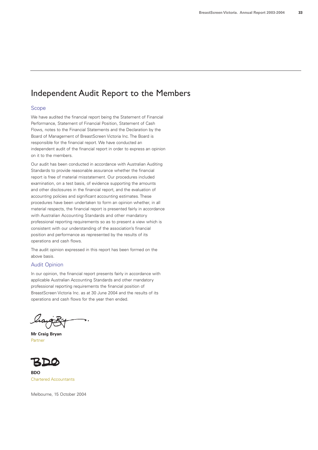# Independent Audit Report to the Members

#### Scope

We have audited the financial report being the Statement of Financial Performance, Statement of Financial Position, Statement of Cash Flows, notes to the Financial Statements and the Declaration by the Board of Management of BreastScreen Victoria Inc. The Board is responsible for the financial report. We have conducted an independent audit of the financial report in order to express an opinion on it to the members.

Our audit has been conducted in accordance with Australian Auditing Standards to provide reasonable assurance whether the financial report is free of material misstatement. Our procedures included examination, on a test basis, of evidence supporting the amounts and other disclosures in the financial report, and the evaluation of accounting policies and significant accounting estimates. These procedures have been undertaken to form an opinion whether, in all material respects, the financial report is presented fairly in accordance with Australian Accounting Standards and other mandatory professional reporting requirements so as to present a view which is consistent with our understanding of the association's financial position and performance as represented by the results of its operations and cash flows.

The audit opinion expressed in this report has been formed on the above basis.

#### Audit Opinion

In our opinion, the financial report presents fairly in accordance with applicable Australian Accounting Standards and other mandatory professional reporting requirements the financial position of BreastScreen Victoria Inc. as at 30 June 2004 and the results of its operations and cash flows for the year then ended.

liggit

**Mr Craig Bryan** Partner



**BDO** Chartered Accountants

Melbourne, 15 October 2004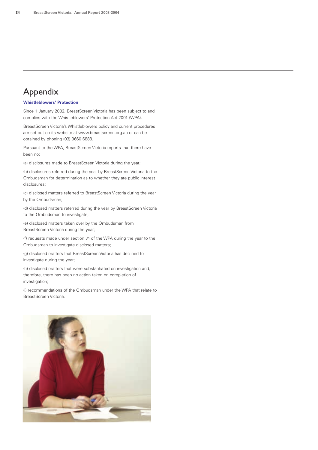# Appendix

#### **Whistleblowers' Protection**

Since 1 January 2002, BreastScreen Victoria has been subject to and complies with the Whistleblowers' Protection Act 2001 (WPA).

BreastScreen Victoria's Whistleblowers policy and current procedures are set out on its website at www.breastscreen.org.au or can be obtained by phoning (03) 9660 6888.

Pursuant to the WPA, BreastScreen Victoria reports that there have been no:

(a) disclosures made to BreastScreen Victoria during the year;

(b) disclosures referred during the year by BreastScreen Victoria to the Ombudsman for determination as to whether they are public interest disclosures;

(c) disclosed matters referred to BreastScreen Victoria during the year by the Ombudsman;

(d) disclosed matters referred during the year by BreastScreen Victoria to the Ombudsman to investigate;

(e) disclosed matters taken over by the Ombudsman from BreastScreen Victoria during the year;

(f) requests made under section 74 of the WPA during the year to the Ombudsman to investigate disclosed matters;

(g) disclosed matters that BreastScreen Victoria has declined to investigate during the year;

(h) disclosed matters that were substantiated on investigation and, therefore, there has been no action taken on completion of investigation;

(i) recommendations of the Ombudsman under the WPA that relate to BreastScreen Victoria.

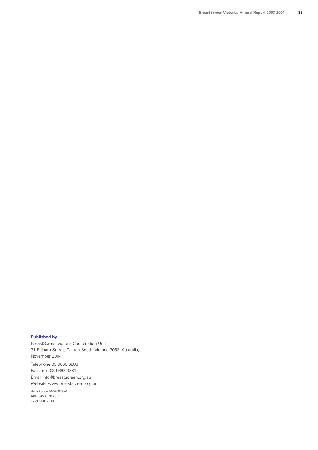#### **Published by**

BreastScreen Victoria Coordination Unit 31 Pelham Street, Carlton South, Victoria 3053, Australia, November 2004

Telephone 03 9660 6888 Facsimile 03 9662 3881 Email info@breastscreen.org.au Website www.breastscreen.org.au

Registration A0025878W ABN 54505 206 361 ISSN 1448-7918